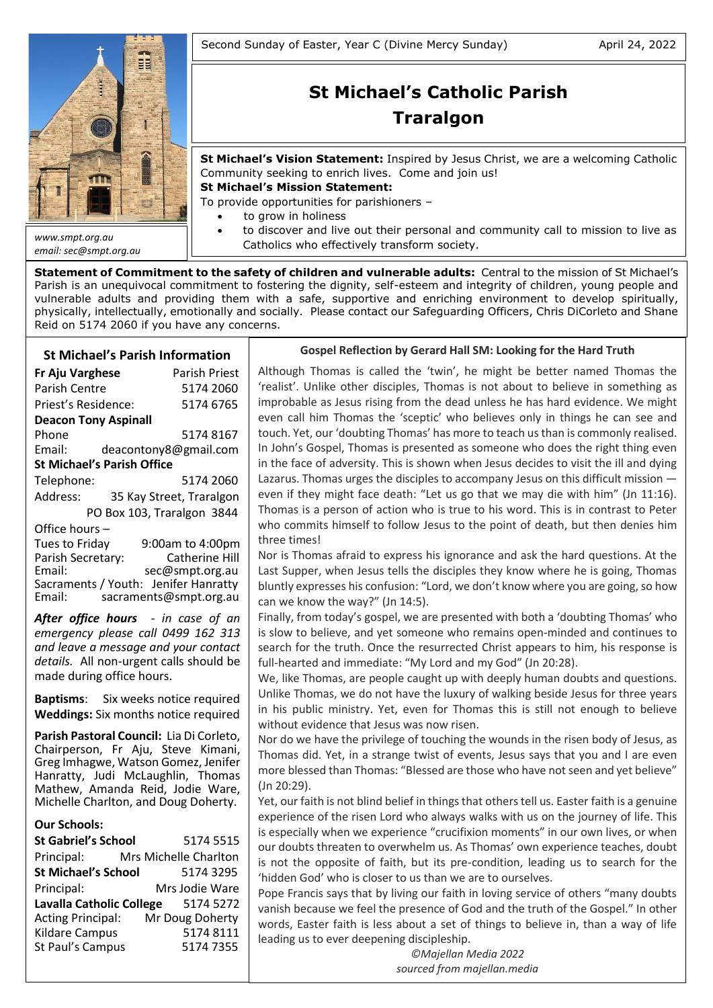

*email: sec@smpt.org.au*

# **St Michael's Catholic Parish Traralgon**

**St Michael's Vision Statement:** Inspired by Jesus Christ, we are a welcoming Catholic Community seeking to enrich lives. Come and join us!

**St Michael's Mission Statement:**

To provide opportunities for parishioners –

- to grow in holiness
- to discover and live out their personal and community call to mission to live as Catholics who effectively transform society.

**Statement of Commitment to the safety of children and vulnerable adults:** Central to the mission of St Michael's Parish is an unequivocal commitment to fostering the dignity, self-esteem and integrity of children, young people and vulnerable adults and providing them with a safe, supportive and enriching environment to develop spiritually, physically, intellectually, emotionally and socially. Please contact our Safeguarding Officers, Chris DiCorleto and Shane Reid on 5174 2060 if you have any concerns.

## **St Michael's Parish Information**

**Fr Aju Varghese** Parish Priest Parish Centre 5174 2060 Priest's Residence: 5174 6765 **Deacon Tony Aspinall** Phone 5174 8167 Email: deacontony8@gmail.com **St Michael's Parish Office** Telephone:5174 2060 Address: 35 Kay Street, Traralgon PO Box 103, Traralgon 3844 Office hours – Tues to Friday 9:00am to 4:00pm<br>Parish Secretary: Catherine Hill Parish Secretary:<br>Email: sec@smpt.org.au Sacraments / Youth: Jenifer Hanratty

*After office hours - in case of an emergency please call 0499 162 313 and leave a message and your contact details.* All non-urgent calls should be made during office hours.

Email: [sacraments@smpt.org.au](mailto:sacraments@smpt.org.au)

**Baptisms**: Six weeks notice required **Weddings:** Six months notice required

**Parish Pastoral Council:** Lia Di Corleto, Chairperson, Fr Aju, Steve Kimani, Greg Imhagwe, Watson Gomez, Jenifer Hanratty, Judi McLaughlin, Thomas Mathew, Amanda Reid, Jodie Ware, Michelle Charlton, and Doug Doherty.

## **Our Schools:**

| <b>St Gabriel's School</b>      | 5174 5515             |  |  |
|---------------------------------|-----------------------|--|--|
| Principal:                      | Mrs Michelle Charlton |  |  |
| <b>St Michael's School</b>      | 5174 3295             |  |  |
| Principal:                      | Mrs Jodie Ware        |  |  |
| <b>Lavalla Catholic College</b> | 5174 5272             |  |  |
| <b>Acting Principal:</b>        | Mr Doug Doherty       |  |  |
| <b>Kildare Campus</b>           | 51748111              |  |  |
| St Paul's Campus                | 51747355              |  |  |
|                                 |                       |  |  |

## **Gospel Reflection by Gerard Hall SM: Looking for the Hard Truth**

Although Thomas is called the 'twin', he might be better named Thomas the 'realist'. Unlike other disciples, Thomas is not about to believe in something as improbable as Jesus rising from the dead unless he has hard evidence. We might even call him Thomas the 'sceptic' who believes only in things he can see and touch. Yet, our 'doubting Thomas' has more to teach us than is commonly realised. In John's Gospel, Thomas is presented as someone who does the right thing even in the face of adversity. This is shown when Jesus decides to visit the ill and dying Lazarus. Thomas urges the disciples to accompany Jesus on this difficult mission even if they might face death: "Let us go that we may die with him" (Jn 11:16). Thomas is a person of action who is true to his word. This is in contrast to Peter who commits himself to follow Jesus to the point of death, but then denies him three times!

Nor is Thomas afraid to express his ignorance and ask the hard questions. At the Last Supper, when Jesus tells the disciples they know where he is going, Thomas bluntly expresses his confusion: "Lord, we don't know where you are going, so how can we know the way?" (Jn 14:5).

Finally, from today's gospel, we are presented with both a 'doubting Thomas' who is slow to believe, and yet someone who remains open-minded and continues to search for the truth. Once the resurrected Christ appears to him, his response is full-hearted and immediate: "My Lord and my God" (Jn 20:28).

We, like Thomas, are people caught up with deeply human doubts and questions. Unlike Thomas, we do not have the luxury of walking beside Jesus for three years in his public ministry. Yet, even for Thomas this is still not enough to believe without evidence that Jesus was now risen.

Nor do we have the privilege of touching the wounds in the risen body of Jesus, as Thomas did. Yet, in a strange twist of events, Jesus says that you and I are even more blessed than Thomas: "Blessed are those who have not seen and yet believe"  $s<sub>1</sub>$ (Jn 20:29).

Yet, our faith is not blind belief in things that others tell us. Easter faith is a genuine experience of the risen Lord who always walks with us on the journey of life. This is especially when we experience "crucifixion moments" in our own lives, or when our doubts threaten to overwhelm us. As Thomas' own experience teaches, doubt is not the opposite of faith, but its pre-condition, leading us to search for the 'hidden God' who is closer to us than we are to ourselves.

Pope Francis says that by living our faith in loving service of others "many doubts vanish because we feel the presence of God and the truth of the Gospel." In other words, Easter faith is less about a set of things to believe in, than a way of life leading us to ever deepening discipleship.

with his Word and his Spirit, to give meaning to what we are living. *©Majellan Media 2022* To focus on Jesus' cross, as Saint Paul says (cf. *Gal* 2:19), means *sourced from majellan.media*accepting to place my life under his gaze, to accept this gaze, to accept this gaze, to accept this encounter  $\alpha$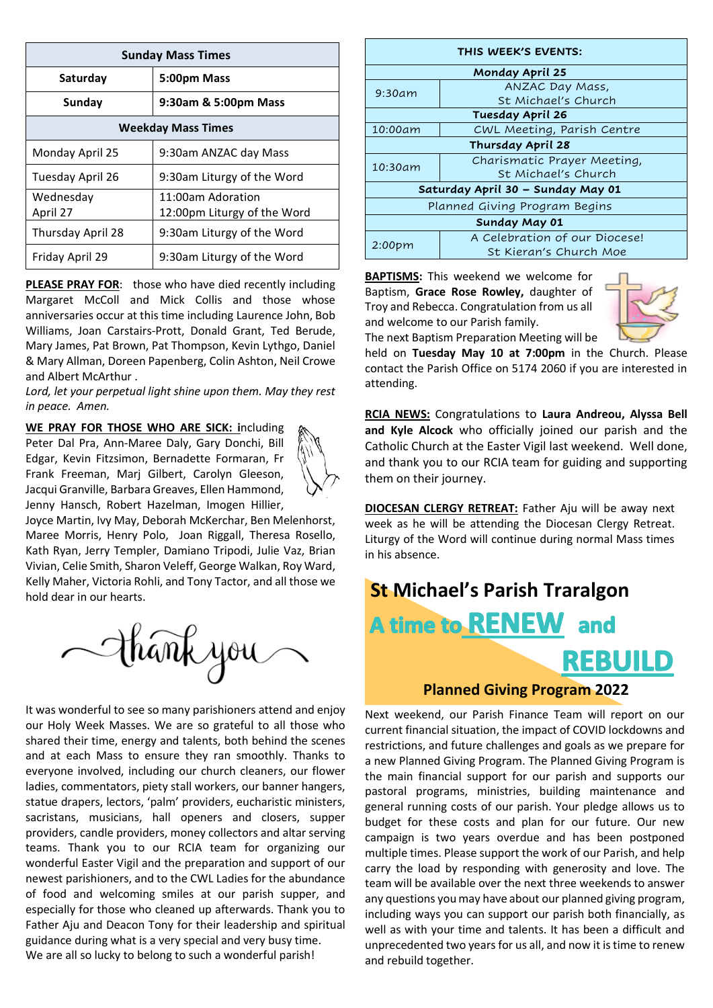| <b>Sunday Mass Times</b>  |                                                  |  |  |  |
|---------------------------|--------------------------------------------------|--|--|--|
| Saturday                  | 5:00pm Mass                                      |  |  |  |
| Sunday                    | 9:30am & 5:00pm Mass                             |  |  |  |
| <b>Weekday Mass Times</b> |                                                  |  |  |  |
| Monday April 25           | 9:30am ANZAC day Mass                            |  |  |  |
| Tuesday April 26          | 9:30am Liturgy of the Word                       |  |  |  |
| Wednesday<br>April 27     | 11:00am Adoration<br>12:00pm Liturgy of the Word |  |  |  |
| Thursday April 28         | 9:30am Liturgy of the Word                       |  |  |  |
| Friday April 29           | 9:30am Liturgy of the Word                       |  |  |  |

**PLEASE PRAY FOR:** those who have died recently including Margaret McColl and Mick Collis and those whose anniversaries occur at this time including Laurence John, Bob Williams, Joan Carstairs-Prott, Donald Grant, Ted Berude, Mary James, Pat Brown, Pat Thompson, Kevin Lythgo, Daniel & Mary Allman, Doreen Papenberg, Colin Ashton, Neil Crowe and Albert McArthur .

*Lord, let your perpetual light shine upon them. May they rest in peace. Amen.*

**WE PRAY FOR THOSE WHO ARE SICK: i**ncluding Peter Dal Pra, Ann-Maree Daly, Gary Donchi, Bill Edgar, Kevin Fitzsimon, Bernadette Formaran, Fr Frank Freeman, Marj Gilbert, Carolyn Gleeson, Jacqui Granville, Barbara Greaves, Ellen Hammond, Jenny Hansch, Robert Hazelman, Imogen Hillier,



Joyce Martin, Ivy May, Deborah McKerchar, Ben Melenhorst, Maree Morris, Henry Polo, Joan Riggall, Theresa Rosello, Kath Ryan, Jerry Templer, Damiano Tripodi, Julie Vaz, Brian Vivian, Celie Smith, Sharon Veleff, George Walkan, Roy Ward, Kelly Maher, Victoria Rohli, and Tony Tactor, and all those we hold dear in our hearts.



It was wonderful to see so many parishioners attend and enjoy our Holy Week Masses. We are so grateful to all those who shared their time, energy and talents, both behind the scenes and at each Mass to ensure they ran smoothly. Thanks to everyone involved, including our church cleaners, our flower ladies, commentators, piety stall workers, our banner hangers, statue drapers, lectors, 'palm' providers, eucharistic ministers, sacristans, musicians, hall openers and closers, supper providers, candle providers, money collectors and altar serving teams. Thank you to our RCIA team for organizing our wonderful Easter Vigil and the preparation and support of our newest parishioners, and to the CWL Ladies for the abundance of food and welcoming smiles at our parish supper, and especially for those who cleaned up afterwards. Thank you to Father Aju and Deacon Tony for their leadership and spiritual guidance during what is a very special and very busy time. We are all so lucky to belong to such a wonderful parish!

| THIS WEEK'S EVENTS:               |                               |  |  |  |  |
|-----------------------------------|-------------------------------|--|--|--|--|
| Monday April 25                   |                               |  |  |  |  |
| 9:30am                            | ANZAC Day Mass,               |  |  |  |  |
|                                   | St Michael's Church           |  |  |  |  |
| <b>Tuesday April 26</b>           |                               |  |  |  |  |
| 10:00am                           | CWL Meeting, Parish Centre    |  |  |  |  |
| Thursday April 28                 |                               |  |  |  |  |
| 10:30am                           | Charismatic Prayer Meeting,   |  |  |  |  |
|                                   | St. Michael's Church          |  |  |  |  |
| Saturday April 30 - Sunday May 01 |                               |  |  |  |  |
| Planned Giving Program Begins     |                               |  |  |  |  |
| Sunday May 01                     |                               |  |  |  |  |
| 2:00pm                            | A Celebration of our Diocese! |  |  |  |  |
|                                   | St Kieran's Church Moe        |  |  |  |  |

**BAPTISMS:** This weekend we welcome for Baptism, **Grace Rose Rowley,** daughter of Troy and Rebecca. Congratulation from us all and welcome to our Parish family. The next Baptism Preparation Meeting will be



held on **Tuesday May 10 at 7:00pm** in the Church. Please contact the Parish Office on 5174 2060 if you are interested in attending.

**RCIA NEWS:** Congratulations to **Laura Andreou, Alyssa Bell and Kyle Alcock** who officially joined our parish and the Catholic Church at the Easter Vigil last weekend. Well done, and thank you to our RCIA team for guiding and supporting them on their journey.

**DIOCESAN CLERGY RETREAT:** Father Aju will be away next week as he will be attending the Diocesan Clergy Retreat. Liturgy of the Word will continue during normal Mass times in his absence.

# **St Michael's Parish Traralgon** A time to RENEW and **REBUILD**

## **Planned Giving Program 2022**

Next weekend, our Parish Finance Team will report on our current financial situation, the impact of COVID lockdowns and restrictions, and future challenges and goals as we prepare for a new Planned Giving Program. The Planned Giving Program is the main financial support for our parish and supports our pastoral programs, ministries, building maintenance and general running costs of our parish. Your pledge allows us to budget for these costs and plan for our future. Our new campaign is two years overdue and has been postponed multiple times. Please support the work of our Parish, and help carry the load by responding with generosity and love. The team will be available over the next three weekends to answer any questions you may have about our planned giving program, including ways you can support our parish both financially, as well as with your time and talents. It has been a difficult and unprecedented two yearsfor us all, and now it is time to renew and rebuild together.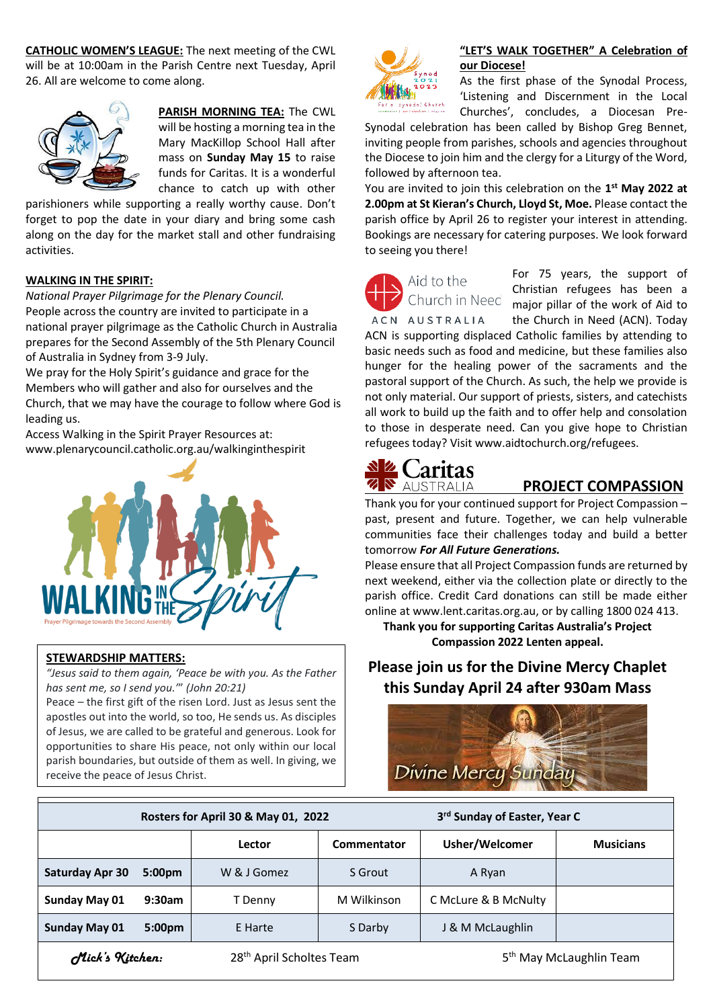**CATHOLIC WOMEN'S LEAGUE:** The next meeting of the CWL will be at 10:00am in the Parish Centre next Tuesday, April 26. All are welcome to come along.



**PARISH MORNING TEA:** The CWL will be hosting a morning tea in the Mary MacKillop School Hall after mass on **Sunday May 15** to raise funds for Caritas. It is a wonderful chance to catch up with other

parishioners while supporting a really worthy cause. Don't forget to pop the date in your diary and bring some cash along on the day for the market stall and other fundraising activities.

## **WALKING IN THE SPIRIT:**

*National Prayer Pilgrimage for the Plenary Council.* People across the country are invited to participate in a national prayer pilgrimage as the Catholic Church in Australia prepares for the Second Assembly of the 5th Plenary Council of Australia in Sydney from 3-9 July.

We pray for the Holy Spirit's guidance and grace for the Members who will gather and also for ourselves and the Church, that we may have the courage to follow where God is leading us.

Access Walking in the Spirit Prayer Resources at: [www.plenarycouncil.catholic.org.au/walkinginthespirit](http://www.plenarycouncil.catholic.org.au/walkinginthespirit)



## **STEWARDSHIP MATTERS:**

*"Jesus said to them again, 'Peace be with you. As the Father has sent me, so I send you.'*" *(John 20:21)*

Peace – the first gift of the risen Lord. Just as Jesus sent the apostles out into the world, so too, He sends us. As disciples of Jesus, we are called to be grateful and generous. Look for opportunities to share His peace, not only within our local parish boundaries, but outside of them as well. In giving, we receive the peace of Jesus Christ.



## **"LET'S WALK TOGETHER" A Celebration of our Diocese!**

As the first phase of the Synodal Process, 'Listening and Discernment in the Local Churches', concludes, a Diocesan Pre-

Synodal celebration has been called by Bishop Greg Bennet, inviting people from parishes, schools and agencies throughout the Diocese to join him and the clergy for a Liturgy of the Word, followed by afternoon tea.

You are invited to join this celebration on the 1<sup>st</sup> May 2022 at **2.00pm at St Kieran's Church, Lloyd St, Moe.** Please contact the parish office by April 26 to register your interest in attending. Bookings are necessary for catering purposes. We look forward to seeing you there!



For 75 years, the support of Christian refugees has been a major pillar of the work of Aid to the Church in Need (ACN). Today

ACN is supporting displaced Catholic families by attending to basic needs such as food and medicine, but these families also hunger for the healing power of the sacraments and the pastoral support of the Church. As such, the help we provide is not only material. Our support of priests, sisters, and catechists all work to build up the faith and to offer help and consolation to those in desperate need. Can you give hope to Christian refugees today? Visi[t www.aidtochurch.org/refugees.](http://www.aidtochurch.org/refugees)



## **PROJECT COMPASSION**

Thank you for your continued support for Project Compassion – past, present and future. Together, we can help vulnerable communities face their challenges today and build a better tomorrow *For All Future Generations.*

Please ensure that all Project Compassion funds are returned by next weekend, either via the collection plate or directly to the parish office. Credit Card donations can still be made either online at www[.lent.caritas.org.au,](http://www.caritas.org.au/projectcompassion) or by calling 1800 024 413.

**Thank you for supporting Caritas Australia's Project Compassion 2022 Lenten appeal.**

## **Please join us for the Divine Mercy Chaplet this Sunday April 24 after 930am Mass**



|                        |                    | Rosters for April 30 & May 01, 2022  |             | 3rd Sunday of Easter, Year C        |                  |  |
|------------------------|--------------------|--------------------------------------|-------------|-------------------------------------|------------------|--|
|                        |                    | Lector                               | Commentator | Usher/Welcomer                      | <b>Musicians</b> |  |
| <b>Saturday Apr 30</b> | 5:00 <sub>pm</sub> | W & J Gomez                          | S Grout     | A Ryan                              |                  |  |
| <b>Sunday May 01</b>   | 9:30am             | T Denny                              | M Wilkinson | C McLure & B McNulty                |                  |  |
| <b>Sunday May 01</b>   | 5:00 <sub>pm</sub> | E Harte                              | S Darby     | J & M McLaughlin                    |                  |  |
| Mick's Kitchen:        |                    | 28 <sup>th</sup> April Scholtes Team |             | 5 <sup>th</sup> May McLaughlin Team |                  |  |